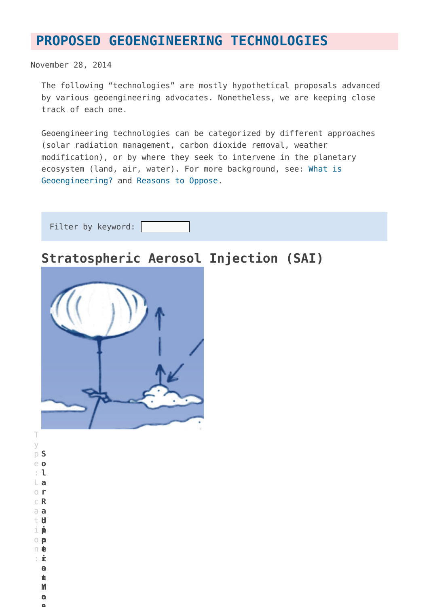## **[PROPOSED GEOENGINEERING TECHNOLOGIES](https://www.geoengineeringmonitor.org/technologies/)**

November 28, 2014

The following "technologies" are mostly hypothetical proposals advanced by various geoengineering advocates. Nonetheless, we are keeping close track of each one.

Geoengineering technologies can be categorized by different approaches (solar radiation management, carbon dioxide removal, weather modification), or by where they seek to intervene in the planetary ecosystem (land, air, water). For more background, see: [What is](http://www.geoengineeringmonitor.org/what-is-geoengineering/) [Geoengineering?](http://www.geoengineeringmonitor.org/what-is-geoengineering/) and [Reasons to Oppose.](http://www.geoengineeringmonitor.org/reasons-to-oppose/)

| Filter by keyword: |  |
|--------------------|--|
|                    |  |
|                    |  |
|                    |  |

### **Stratospheric Aerosol Injection (SAI)**



T y p **S** e **o** : **l a** L **r** o **R** c **a** a **d** t **i a** o **t** n **i** : **o n M a n**

i

**Upperatmosphr**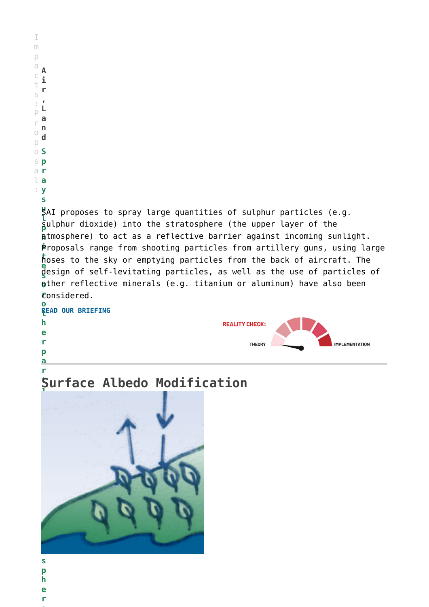| m                            |        |
|------------------------------|--------|
|                              |        |
| d                            |        |
| I                            | i      |
| 1                            | Ŋ<br>r |
| ς<br>$\overline{\mathbb{R}}$ | J      |
| ×<br>Ĵ                       |        |
| Ì                            | a      |
| l<br>١                       | n      |
|                              | d      |
| l                            | S      |
| K                            | p      |
| d                            | ١      |
|                              | a      |
| $\mathbf{r}$<br>٠            |        |
|                              | S      |

**u** SAI proposes to spray large quantities of sulphur particles (e.g. **l p** sulphur dioxide) into the stratosphere (the upper layer of the **h** atmosphere) to act as a reflective barrier against incoming sunlight. **i** Proposals range from shooting particles from artillery guns, using large **t** hoses to the sky or emptying particles from the back of aircraft. The **e s** design of self-levitating particles, as well as the use of particles of **o** other reflective minerals (e.g. titanium or aluminum) have also been **r** considered. **o**

**t [READ OUR BRIEFING](http://www.geoengineeringmonitor.org/2018/06/stratospheric_aerosol_injection/) h REALITY CHECK: e r IMPLEMENTATION** THEORY **p**

#### **t i Surface Albedo Modification**



**s**

**a r**

- **p**
- **h**
- **e r**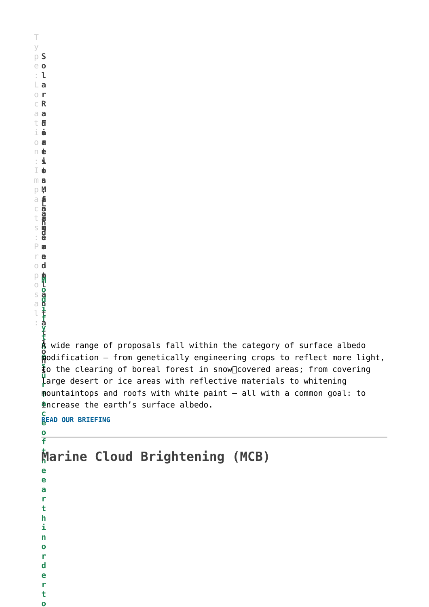T y p **S** e **o** : **l a** L **r** o **R** c **a** a **d** t **i** i **a** o **t** n **i** : **o** I **n** m **M** p **a n a g e m** P **e** r **n t** For a farmsand manda farmsand manda farmsand farmsand manda farmsand farmsand farmsand farmsand farm **a n t a t i o n e** modification – from genetically engineering crops to reflect more light,  $\frac{1}{3}$ o the clearing of boreal forest in snow∏covered areas; from covering a c t s : **L a n d** o d p o s a l : **M o d i f y t h** A wide range of proposals fall within the category of surface albedo **u r** large desert or ice areas with reflective materials to whitening **f** mountaintops and roofs with white paint – all with a common goal: to **a** increase the earth's surface albedo. **c e [READ OUR BRIEFING](http://www.geoengineeringmonitor.org/2018/05/surface-albedo-modification-technology-factsheet/) o f t h Marine Cloud Brightening (MCB)e e a r t h i n o r d e r t**

**o**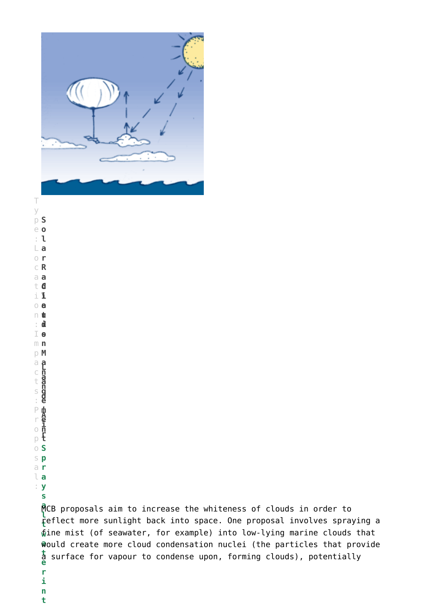

T y p **S** e **o** : **l a** L **r** o **R** c **a** a **d** t **i** i **a** o **t** n **i** : **o** I **sn** m **M** p **a n a g e m e n t r** p **Cloud**a c t s : **L a n d , A i** P r o o **S** s **p** a **r** l **a** : **y s l t e r**

> **i n t**

**a** MCB proposals aim to increase the whiteness of clouds in order to **t** reflect more sunlight back into space. One proposal involves spraying a **w** fine mist (of seawater, for example) into low-lying marine clouds that **a** would create more cloud condensation nuclei (the particles that provide a surface for vapour to condense upon, forming clouds), potentially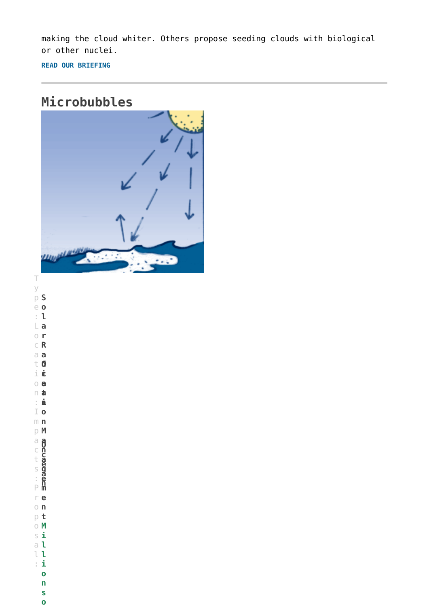making the cloud whiter. Others propose seeding clouds with biological or other nuclei.

**[READ OUR BRIEFING](http://www.geoengineeringmonitor.org/2018/05/marine_cloud_brightening/)**

### **Microbubbles**



y p **S** e **o** : **l a** L **r** o **R** c **a** a **d** t **i** i **a** o **t** n **i** : **o** I **n** m **M** p **a n a g e m e** r **n** o **t** p **Ocean**a c t s : **O c e a n** P o **M** s **i** a **l** l **l** : **i o n s o**

T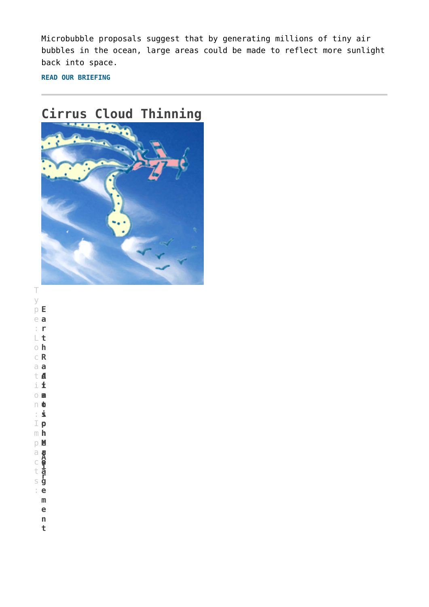Microbubble proposals suggest that by generating millions of tiny air bubbles in the ocean, large areas could be made to reflect more sunlight back into space.

**[READ OUR BRIEFING](http://www.geoengineeringmonitor.org/2018/06/microbubbles-sea-foam/)**

# **Cirrus Cloud Thinning**



T y p **E** e **a** : **r t** L **h** o **R** c **a** a **d** t **i** i **a** o **t** n **i** : **o n** m **M** p **a n a g e** : **m e n Atmosphere**<br>Information<br>Information a c t s **A i r**

**t**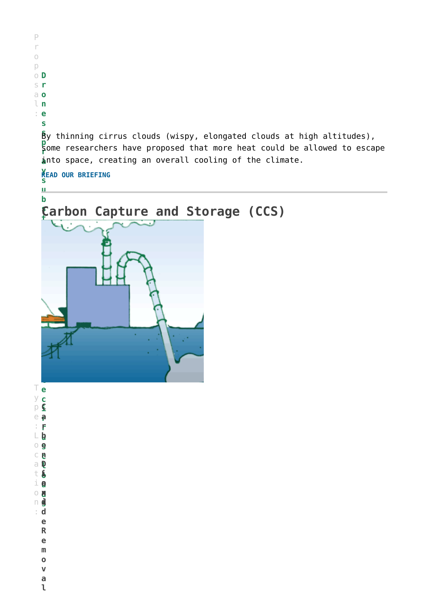

**l D** a **o i** t

**u o** i **d x** o **s i** n **d** : **R**

**e**

**Land**

**e m**

**o v a**

**l**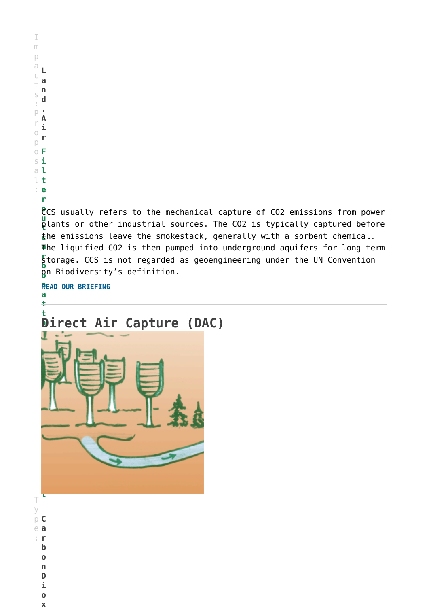**o** CCS usually refers to the mechanical capture of CO2 emissions from power **u t** plants or other industrial sources. The CO2 is typically captured before **c** the emissions leave the smokestack, generally with a sorbent chemical. **a** The liquified CO2 is then pumped into underground aquifers for long term **r** storage. CCS is not regarded as geoengineering under the UN Convention **b**  $\tilde{\bm{\mathsf{g}}}$ n Biodiversity's definition.

**n [READ OUR BRIEFING](http://www.geoengineeringmonitor.org/2018/05/carbon_capture_storage/) a**



T y p **C** e **a** : **r b o n D i**

> **o x**

**t**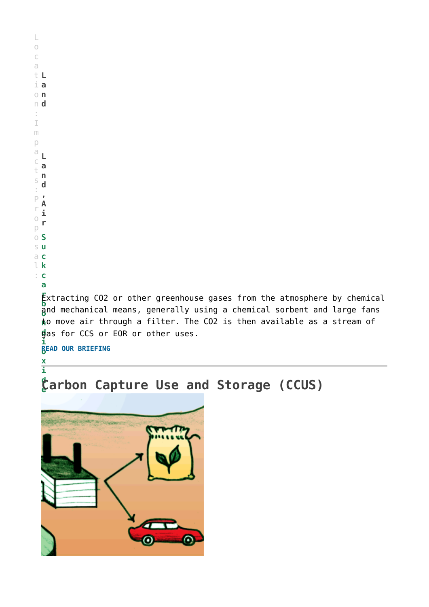| $\frac{1}{2}$            |                                                                          |
|--------------------------|--------------------------------------------------------------------------|
| $\circ$                  |                                                                          |
| $\mathsf C$              |                                                                          |
| a                        |                                                                          |
| tL                       |                                                                          |
|                          | $\perp$ a                                                                |
| $\circ$ n                |                                                                          |
| $n$ d                    |                                                                          |
| ÷<br>$\mathbb I$         |                                                                          |
| m                        |                                                                          |
| $\vert 0$                |                                                                          |
| $\ominus$                |                                                                          |
| $\subset$                |                                                                          |
| $\mathbb{t}$             |                                                                          |
| $\mathbb S$              | n<br>d                                                                   |
| $\overline{\phantom{a}}$ |                                                                          |
| $P$ $\prime$             |                                                                          |
| r                        | ı                                                                        |
| $\bigcirc$<br>p          | r                                                                        |
| $\circ$ S                |                                                                          |
|                          | s u                                                                      |
|                          | $a$ c                                                                    |
|                          | $l_{k}$                                                                  |
|                          | $\vdots$ C                                                               |
|                          | a                                                                        |
|                          | Extracting CO2 or other greenhouse gases from the atmosphere by chemical |
|                          | and mechanical means, generally using a chemical sorbent and large fans  |
|                          | to move air through a filter. The CO2 is then available as a stream of   |
|                          | gas for CCS or EOR or other uses.                                        |
|                          |                                                                          |

**i o [READ OUR BRIEFING](https://www.geoengineeringmonitor.org/2021/02/direct-air-capture-technology-briefing/)**

**x i**

#### **d e Carbon Capture Use and Storage (CCUS)**

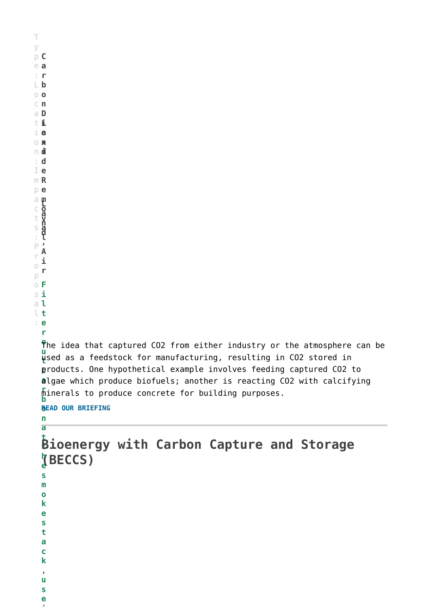T y p **C** e **a** : **r b** L **o** o **n** c **D** a **i** t **o** i **x** o **i** n **d** : **e** I **R** m **e** p **m o v a l Land**a c t s : **L a n d , A i r** P r o p o **F** s **i** a **l** l **t** : **e r o** The idea that captured CO2 from either industry or the atmosphere can be **u**  $\bar{\mathbf{u}}$ sed as a feedstock for manufacturing, resulting in CO2 stored in **c** products. One hypothetical example involves feeding captured CO2 to **a** algae which produce biofuels; another is reacting CO2 with calcifying **r b o [READ OUR BRIEFING](http://www.geoengineeringmonitor.org/2018/05/carbon-capture-use-and-storage/) n a t t Bioenergy with Carbon Capture and Storage h e (BECCS)s m o k e s t a c k , u s e i** minerals to produce concrete for building purposes.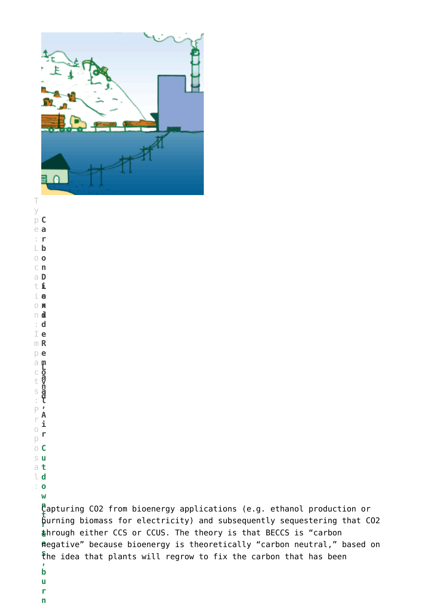

T y p **C** e **a** : **r b** L **o** o **n** c **D** a **i** t **o** i **x** o **i** n **d** : **e** I **R** m **e** p **m o v a l Land**a c t s : **L a n d , A** P **i r** r o p o **C** s **u** a **t** l **d** : **o w t s , b u**

**n** Capturing CO2 from bioenergy applications (e.g. ethanol production or **r** burning biomass for electricity) and subsequently sequestering that CO2 **e** through either CCS or CCUS. The theory is that BECCS is "carbon **e** negative" because bioenergy is theoretically "carbon neutral," based on the idea that plants will regrow to fix the carbon that has been

- **r**
- **n**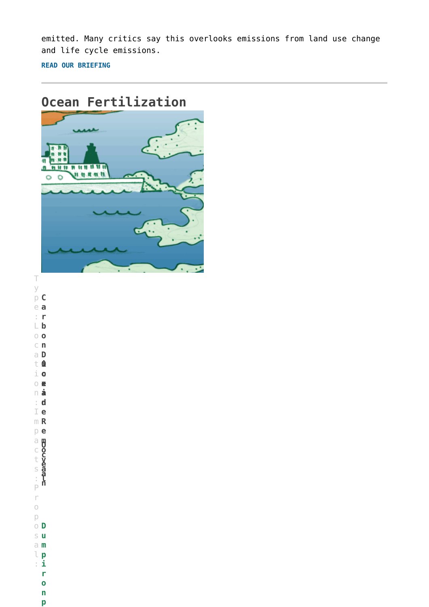emitted. Many critics say this overlooks emissions from land use change and life cycle emissions.

**[READ OUR BRIEFING](http://www.geoengineeringmonitor.org/2018/05/bio-energy-with-carbon-capture-and-storage-beccs/)**





y p **C** e **a** : **r b** L **o** o **n** c **D** a **i** t **o** i **x** o **i** n **d** : **e** I **R** m **e** p **m o v a l のの感情の** a c t s : **O c e a n** P r o p o **D** s **u** a **m** l **p** : **i r o n**

**p**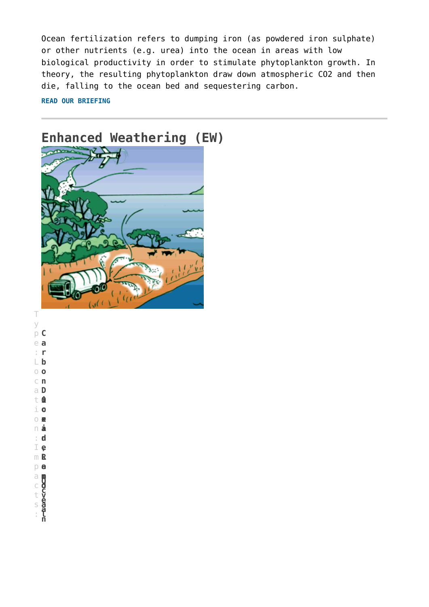Ocean fertilization refers to dumping iron (as powdered iron sulphate) or other nutrients (e.g. urea) into the ocean in areas with low biological productivity in order to stimulate phytoplankton growth. In theory, the resulting phytoplankton draw down atmospheric CO2 and then die, falling to the ocean bed and sequestering carbon.

**[READ OUR BRIEFING](http://www.geoengineeringmonitor.org/2018/05/ocean-fertilization/)**



T y p **C** e **a** : **r b** L **o** o **n** c **D** a **i o** i **x** o **i** n **d** : **e R** m **e** p **m o v a l** t **tion:Impage**<br>Lion:Impage a c t s : **O c e a n**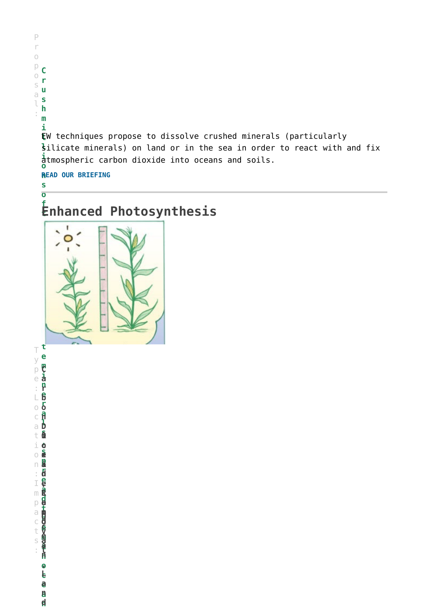**r u s h m i l** EW techniques propose to dissolve crushed minerals (particularly **l** silicate minerals) on land or in the sea in order to react with and fix **i o** atmospheric carbon dioxide into oceans and soils.

**n [READ OUR BRIEFING](http://www.geoengineeringmonitor.org/2018/05/enhanced-weathering-factsheet/)**

P r o p o s a l :

**C**

**s o**

#### **f t Enhanced Photosynthesis**



**t** T **e** y **m** p **C i** e **a n** : **r e** L **b r** o **o a n** c **l D** a **s i** t **UCEAN, OCEAN, OCEAN, OCEAN, OCEAN, OCEAN, OCEAN, OCEAN, OCEAN, OCEAN, OCEAN, OCEAN, OCEAN, OCEAN, O , o** i **s x** o **p i** n **r** : **d e** I **e a** m **R d** p **e t** a **m O h** c **o c e** t **v e m** s **a a i** : **l n n o , c L e a a n**

**n d**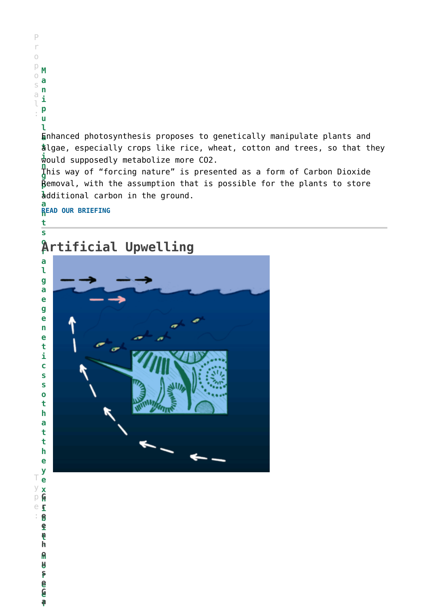**l a** Enhanced photosynthesis proposes to genetically manipulate plants and **t** algae, especially crops like rice, wheat, cotton and trees, so that they **i** would supposedly metabolize more CO2.

**n g** This way of "forcing nature" is presented as a form of Carbon Dioxide **p** Removal, with the assumption that is possible for the plants to store **l** additional carbon in the ground.

**a n [READ OUR BRIEFING](http://www.geoengineeringmonitor.org/2018/05/biochar-technology-factsheet/)**

P r o p o s a l :

**M a n i p u**

**t s**

#### **o r Artificial Upwelling**



**y e x h i** e **r b** : **e i e t n " h m o o u r s e** T y p **G e**

> **e f a**

> **G**